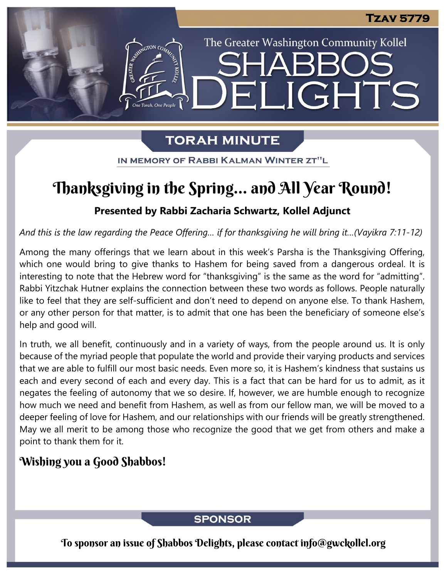The Greater Washington Community Kollel

**JGHTS** 

# **TORAH MINUTE**

EI

IN MEMORY OF RABBI KALMAN WINTER ZT"L

# Thanksgiving in the Spring… and All Year Round!

## **Presented by Rabbi Zacharia Schwartz, Kollel Adjunct**

*And this is the law regarding the Peace Offering… if for thanksgiving he will bring it…(Vayikra 7:11-12)*

Among the many offerings that we learn about in this week's Parsha is the Thanksgiving Offering, which one would bring to give thanks to Hashem for being saved from a dangerous ordeal. It is interesting to note that the Hebrew word for "thanksgiving" is the same as the word for "admitting". Rabbi Yitzchak Hutner explains the connection between these two words as follows. People naturally like to feel that they are self-sufficient and don't need to depend on anyone else. To thank Hashem, or any other person for that matter, is to admit that one has been the beneficiary of someone else's help and good will.

In truth, we all benefit, continuously and in a variety of ways, from the people around us. It is only because of the myriad people that populate the world and provide their varying products and services that we are able to fulfill our most basic needs. Even more so, it is Hashem's kindness that sustains us each and every second of each and every day. This is a fact that can be hard for us to admit, as it negates the feeling of autonomy that we so desire. If, however, we are humble enough to recognize how much we need and benefit from Hashem, as well as from our fellow man, we will be moved to a deeper feeling of love for Hashem, and our relationships with our friends will be greatly strengthened. May we all merit to be among those who recognize the good that we get from others and make a point to thank them for it.

# Wishing you a Good Shabbos!

## **SPONSOR**

To sponsor an issue of Shabbos Delights, please contact info@gwckollel.org